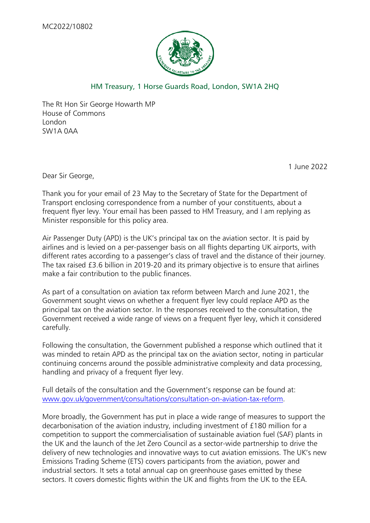

## HM Treasury, 1 Horse Guards Road, London, SW1A 2HQ

The Rt Hon Sir George Howarth MP House of Commons London SW1A 0AA

1 June 2022

Dear Sir George,

Thank you for your email of 23 May to the Secretary of State for the Department of Transport enclosing correspondence from a number of your constituents, about a frequent flyer levy. Your email has been passed to HM Treasury, and I am replying as Minister responsible for this policy area.

Air Passenger Duty (APD) is the UK's principal tax on the aviation sector. It is paid by airlines and is levied on a per-passenger basis on all flights departing UK airports, with different rates according to a passenger's class of travel and the distance of their journey. The tax raised £3.6 billion in 2019-20 and its primary objective is to ensure that airlines make a fair contribution to the public finances.

As part of a consultation on aviation tax reform between March and June 2021, the Government sought views on whether a frequent flyer levy could replace APD as the principal tax on the aviation sector. In the responses received to the consultation, the Government received a wide range of views on a frequent flyer levy, which it considered carefully.

Following the consultation, the Government published a response which outlined that it was minded to retain APD as the principal tax on the aviation sector, noting in particular continuing concerns around the possible administrative complexity and data processing, handling and privacy of a frequent flyer levy.

Full details of the consultation and the Government's response can be found at: [www.gov.uk/government/consultations/consultation-on-aviation-tax-reform.](http://www.gov.uk/government/consultations/consultation-on-aviation-tax-reform)

More broadly, the Government has put in place a wide range of measures to support the decarbonisation of the aviation industry, including investment of £180 million for a competition to support the commercialisation of sustainable aviation fuel (SAF) plants in the UK and the launch of the Jet Zero Council as a sector-wide partnership to drive the delivery of new technologies and innovative ways to cut aviation emissions. The UK's new Emissions Trading Scheme (ETS) covers participants from the aviation, power and industrial sectors. It sets a total annual cap on greenhouse gases emitted by these sectors. It covers domestic flights within the UK and flights from the UK to the EEA.